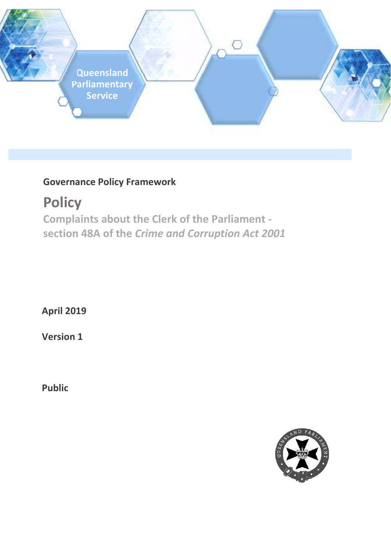

# **Governance Policy Framework**

**Policy Complaints about the Clerk of the Parliament section 48A of the** *Crime and Corruption Act 2001*

**April 2019** 

**Version 1** 

**Public** 

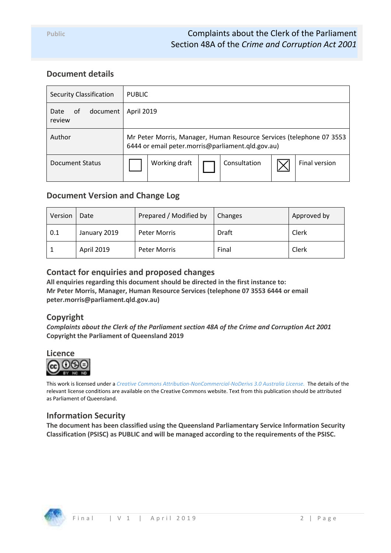## **Document details**

| <b>Security Classification</b>   | <b>PUBLIC</b>                                                                                                             |  |  |  |
|----------------------------------|---------------------------------------------------------------------------------------------------------------------------|--|--|--|
| document<br>Date<br>of<br>review | April 2019                                                                                                                |  |  |  |
| Author                           | Mr Peter Morris, Manager, Human Resource Services (telephone 07 3553<br>6444 or email peter.morris@parliament.qld.gov.au) |  |  |  |
| <b>Document Status</b>           | Consultation<br>Working draft<br>Final version                                                                            |  |  |  |

### **Document Version and Change Log**

| Version | Date              | Prepared / Modified by | Changes | Approved by |
|---------|-------------------|------------------------|---------|-------------|
| 0.1     | January 2019      | Peter Morris           | Draft   | Clerk       |
|         | <b>April 2019</b> | Peter Morris           | Final   | Clerk       |

## **Contact for enquiries and proposed changes**

**All enquiries regarding this document should be directed in the first instance to: Mr Peter Morris, Manager, Human Resource Services (telephone 07 3553 6444 or email peter.morris@parliament.qld.gov.au)** 

### **Copyright**

*Complaints about the Clerk of the Parliament section 48A of the Crime and Corruption Act 2001* **Copyright the Parliament of Queensland 2019** 



This work is licensed under a *Creative Commons Attribution-NonCommercial-NoDerivs 3.0 Australia License.* The details of the relevant license conditions are available on the Creative Commons website. Text from this publication should be attributed as Parliament of Queensland.

### **Information Security**

**The document has been classified using the Queensland Parliamentary Service Information Security Classification (PSISC) as PUBLIC and will be managed according to the requirements of the PSISC.** 

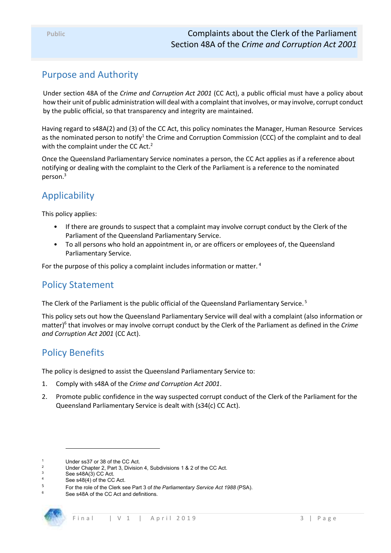# Purpose and Authority

Under section 48A of the *Crime and Corruption Act 2001* (CC Act), a public official must have a policy about how their unit of public administration will deal with a complaint that involves, or may involve, corrupt conduct by the public official, so that transparency and integrity are maintained.

Having regard to s48A(2) and (3) of the CC Act, this policy nominates the Manager, Human Resource Services as the nominated person to notify<sup>1</sup> the Crime and Corruption Commission (CCC) of the complaint and to deal with the complaint under the CC Act.<sup>2</sup>

Once the Queensland Parliamentary Service nominates a person, the CC Act applies as if a reference about notifying or dealing with the complaint to the Clerk of the Parliament is a reference to the nominated person.<sup>3</sup>

# Applicability

This policy applies:

- If there are grounds to suspect that a complaint may involve corrupt conduct by the Clerk of the Parliament of the Queensland Parliamentary Service.
- To all persons who hold an appointment in, or are officers or employees of, the Queensland Parliamentary Service.

For the purpose of this policy a complaint includes information or matter.<sup>4</sup>

## Policy Statement

The Clerk of the Parliament is the public official of the Queensland Parliamentary Service.<sup>5</sup>

This policy sets out how the Queensland Parliamentary Service will deal with a complaint (also information or matter)<sup>6</sup> that involves or may involve corrupt conduct by the Clerk of the Parliament as defined in the *Crime and Corruption Act 2001* (CC Act).

## Policy Benefits

The policy is designed to assist the Queensland Parliamentary Service to:

- 1. Comply with s48A of the *Crime and Corruption Act 2001*.
- 2. Promote public confidence in the way suspected corrupt conduct of the Clerk of the Parliament for the Queensland Parliamentary Service is dealt with (s34(c) CC Act).

-

<sup>1</sup> Under ss37 or 38 of the CC Act.

<sup>2</sup> Under Chapter 2, Part 3, Division 4, Subdivisions 1 & 2 of the CC Act.

<sup>3</sup> See s48A(3) CC Act.

<sup>4</sup> See s48(4) of the CC Act.

<sup>5</sup> For the role of the Clerk see Part 3 of *the Parliamentary Service Act 1988* (PSA).

<sup>6</sup> See s48A of the CC Act and definitions.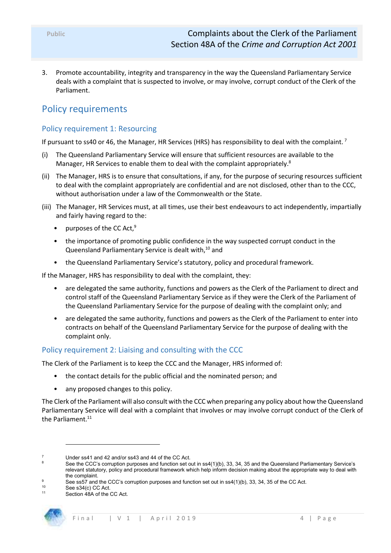3. Promote accountability, integrity and transparency in the way the Queensland Parliamentary Service deals with a complaint that is suspected to involve, or may involve, corrupt conduct of the Clerk of the Parliament.

# Policy requirements

#### Policy requirement 1: Resourcing

If pursuant to ss40 or 46, the Manager, HR Services (HRS) has responsibility to deal with the complaint.<sup>7</sup>

- (i) The Queensland Parliamentary Service will ensure that sufficient resources are available to the Manager, HR Services to enable them to deal with the complaint appropriately.<sup>8</sup>
- (ii) The Manager, HRS is to ensure that consultations, if any, for the purpose of securing resources sufficient to deal with the complaint appropriately are confidential and are not disclosed, other than to the CCC, without authorisation under a law of the Commonwealth or the State.
- (iii) The Manager, HR Services must, at all times, use their best endeavours to act independently, impartially and fairly having regard to the:
	- purposes of the CC Act.<sup>9</sup>
	- the importance of promoting public confidence in the way suspected corrupt conduct in the Queensland Parliamentary Service is dealt with,<sup>10</sup> and
	- the Queensland Parliamentary Service's statutory, policy and procedural framework.

If the Manager, HRS has responsibility to deal with the complaint, they:

- are delegated the same authority, functions and powers as the Clerk of the Parliament to direct and control staff of the Queensland Parliamentary Service as if they were the Clerk of the Parliament of the Queensland Parliamentary Service for the purpose of dealing with the complaint only; and
- are delegated the same authority, functions and powers as the Clerk of the Parliament to enter into contracts on behalf of the Queensland Parliamentary Service for the purpose of dealing with the complaint only.

#### Policy requirement 2: Liaising and consulting with the CCC

The Clerk of the Parliament is to keep the CCC and the Manager, HRS informed of:

- the contact details for the public official and the nominated person; and
- any proposed changes to this policy.

The Clerk of the Parliament will also consult with the CCC when preparing any policy about how the Queensland Parliamentary Service will deal with a complaint that involves or may involve corrupt conduct of the Clerk of the Parliament. $11$ 

l

Section 48A of the CC Act.



<sup>7</sup> Under ss41 and 42 and/or ss43 and 44 of the CC Act.

<sup>8</sup> See the CCC's corruption purposes and function set out in ss4(1)(b), 33, 34, 35 and the Queensland Parliamentary Service's relevant statutory, policy and procedural framework which help inform decision making about the appropriate way to deal with the complaint.

 $\overline{9}$ See ss57 and the CCC's corruption purposes and function set out in ss4(1)(b), 33, 34, 35 of the CC Act.

<sup>&</sup>lt;sup>10</sup> See s34(c) CC Act.<br><sup>11</sup> Section 48A of the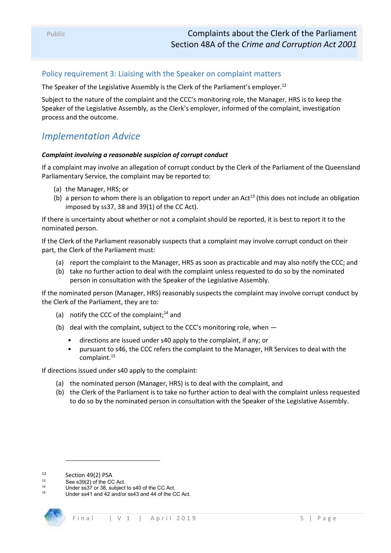#### Policy requirement 3: Liaising with the Speaker on complaint matters

The Speaker of the Legislative Assembly is the Clerk of the Parliament's employer.<sup>12</sup>

Subject to the nature of the complaint and the CCC's monitoring role, the Manager, HRS is to keep the Speaker of the Legislative Assembly, as the Clerk's employer, informed of the complaint, investigation process and the outcome.

## *Implementation Advice*

#### *Complaint involving a reasonable suspicion of corrupt conduct*

If a complaint may involve an allegation of corrupt conduct by the Clerk of the Parliament of the Queensland Parliamentary Service, the complaint may be reported to:

- (a) the Manager, HRS; or
- (b) a person to whom there is an obligation to report under an  $Act^{13}$  (this does not include an obligation imposed by ss37, 38 and 39(1) of the CC Act).

If there is uncertainty about whether or not a complaint should be reported, it is best to report it to the nominated person.

If the Clerk of the Parliament reasonably suspects that a complaint may involve corrupt conduct on their part, the Clerk of the Parliament must:

- (a) report the complaint to the Manager, HRS as soon as practicable and may also notify the CCC; and
- (b) take no further action to deal with the complaint unless requested to do so by the nominated person in consultation with the Speaker of the Legislative Assembly.

If the nominated person (Manager, HRS) reasonably suspects the complaint may involve corrupt conduct by the Clerk of the Parliament, they are to:

- (a) notify the CCC of the complaint; $^{14}$  and
- (b) deal with the complaint, subject to the CCC's monitoring role, when
	- directions are issued under s40 apply to the complaint, if any; or
	- pursuant to s46, the CCC refers the complaint to the Manager, HR Services to deal with the complaint.<sup>15</sup>

If directions issued under s40 apply to the complaint:

- (a) the nominated person (Manager, HRS) is to deal with the complaint, and
- (b) the Clerk of the Parliament is to take no further action to deal with the complaint unless requested to do so by the nominated person in consultation with the Speaker of the Legislative Assembly.

-

Under ss41 and 42 and/or ss43 and 44 of the CC Act.



 $12$  Section 49(2) PSA

See s39(2) of the CC Act.

<sup>&</sup>lt;sup>14</sup> Under ss37 or 38, subject to s40 of the CC Act.<br><sup>15</sup> Under se44 and 42 and/or se42 and 44 of the C